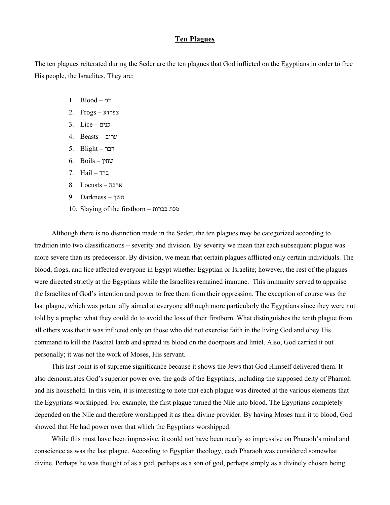## **Ten Plagues**

The ten plagues reiterated during the Seder are the ten plagues that God inflicted on the Egyptians in order to free His people, the Israelites. They are:

- דם Blood 1.
- צפרדע Frogs 2.
- כנים Lice 3.
- ערוב Beasts 4.
- דבר Blight 5.
- שחין Boils 6.
- ברד Hail 7.
- ארבה Locusts 8.
- חשך Darkness 9.
- 10. Slaying of the firstborn בכרות מכת

Although there is no distinction made in the Seder, the ten plagues may be categorized according to tradition into two classifications – severity and division. By severity we mean that each subsequent plague was more severe than its predecessor. By division, we mean that certain plagues afflicted only certain individuals. The blood, frogs, and lice affected everyone in Egypt whether Egyptian or Israelite; however, the rest of the plagues were directed strictly at the Egyptians while the Israelites remained immune. This immunity served to appraise the Israelites of God's intention and power to free them from their oppression. The exception of course was the last plague, which was potentially aimed at everyone although more particularly the Egyptians since they were not told by a prophet what they could do to avoid the loss of their firstborn. What distinguishes the tenth plague from all others was that it was inflicted only on those who did not exercise faith in the living God and obey His command to kill the Paschal lamb and spread its blood on the doorposts and lintel. Also, God carried it out personally; it was not the work of Moses, His servant.

This last point is of supreme significance because it shows the Jews that God Himself delivered them. It also demonstrates God's superior power over the gods of the Egyptians, including the supposed deity of Pharaoh and his household. In this vein, it is interesting to note that each plague was directed at the various elements that the Egyptians worshipped. For example, the first plague turned the Nile into blood. The Egyptians completely depended on the Nile and therefore worshipped it as their divine provider. By having Moses turn it to blood, God showed that He had power over that which the Egyptians worshipped.

While this must have been impressive, it could not have been nearly so impressive on Pharaoh's mind and conscience as was the last plague. According to Egyptian theology, each Pharaoh was considered somewhat divine. Perhaps he was thought of as a god, perhaps as a son of god, perhaps simply as a divinely chosen being